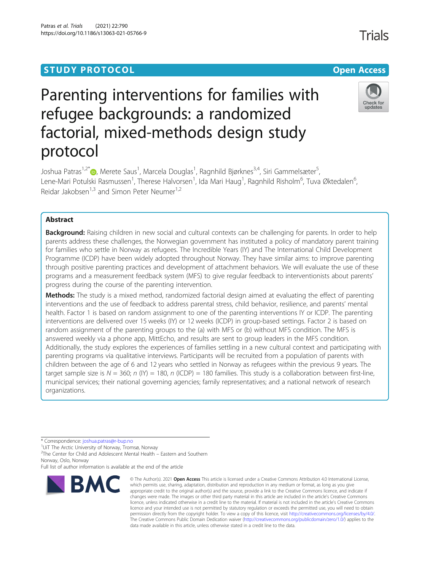## **STUDY PROTOCOL CONSUMING THE RESERVE ACCESS**

# Parenting interventions for families with refugee backgrounds: a randomized factorial, mixed-methods design study protocol

Joshua Patras<sup>1[,](http://orcid.org/0000-0001-5233-6188)2\*</sup>®, Merete Saus<sup>1</sup>, Marcela Douglas<sup>1</sup>, Ragnhild Bjørknes<sup>3,4</sup>, Siri Gammelsæter<sup>5</sup> , Lene-Mari Potulski Rasmussen<sup>1</sup>, Therese Halvorsen<sup>1</sup>, Ida Mari Haug<sup>1</sup>, Ragnhild Risholm<sup>6</sup>, Tuva Øktedalen<sup>6</sup> , Reidar Jakobsen<sup>1,3</sup> and Simon Peter Neumer<sup>1,2</sup>

## Abstract

Background: Raising children in new social and cultural contexts can be challenging for parents. In order to help parents address these challenges, the Norwegian government has instituted a policy of mandatory parent training for families who settle in Norway as refugees. The Incredible Years (IY) and The International Child Development Programme (ICDP) have been widely adopted throughout Norway. They have similar aims: to improve parenting through positive parenting practices and development of attachment behaviors. We will evaluate the use of these programs and a measurement feedback system (MFS) to give regular feedback to interventionists about parents' progress during the course of the parenting intervention.

Methods: The study is a mixed method, randomized factorial design aimed at evaluating the effect of parenting interventions and the use of feedback to address parental stress, child behavior, resilience, and parents' mental health. Factor 1 is based on random assignment to one of the parenting interventions IY or ICDP. The parenting interventions are delivered over 15 weeks (IY) or 12 weeks (ICDP) in group-based settings. Factor 2 is based on random assignment of the parenting groups to the (a) with MFS or (b) without MFS condition. The MFS is answered weekly via a phone app, MittEcho, and results are sent to group leaders in the MFS condition. Additionally, the study explores the experiences of families settling in a new cultural context and participating with parenting programs via qualitative interviews. Participants will be recruited from a population of parents with children between the age of 6 and 12 years who settled in Norway as refugees within the previous 9 years. The target sample size is  $N = 360$ ; n (IY) = 180, n (ICDP) = 180 families. This study is a collaboration between first-line, municipal services; their national governing agencies; family representatives; and a national network of research organizations.

\* Correspondence: [joshua.patras@r-bup.no](mailto:joshua.patras@r-bup.no) <sup>1</sup>

UiT The Arctic University of Norway, Tromsø, Norway

<sup>2</sup>The Center for Child and Adolescent Mental Health – Eastern and Southern Norway, Oslo, Norway

Full list of author information is available at the end of the article



**Trials** 





© The Author(s), 2021 **Open Access** This article is licensed under a Creative Commons Attribution 4.0 International License, which permits use, sharing, adaptation, distribution and reproduction in any medium or format, as long as you give appropriate credit to the original author(s) and the source, provide a link to the Creative Commons licence, and indicate if changes were made. The images or other third party material in this article are included in the article's Creative Commons licence, unless indicated otherwise in a credit line to the material. If material is not included in the article's Creative Commons licence and your intended use is not permitted by statutory regulation or exceeds the permitted use, you will need to obtain permission directly from the copyright holder. To view a copy of this licence, visit [http://creativecommons.org/licenses/by/4.0/.](http://creativecommons.org/licenses/by/4.0/) The Creative Commons Public Domain Dedication waiver [\(http://creativecommons.org/publicdomain/zero/1.0/](http://creativecommons.org/publicdomain/zero/1.0/)) applies to the data made available in this article, unless otherwise stated in a credit line to the data.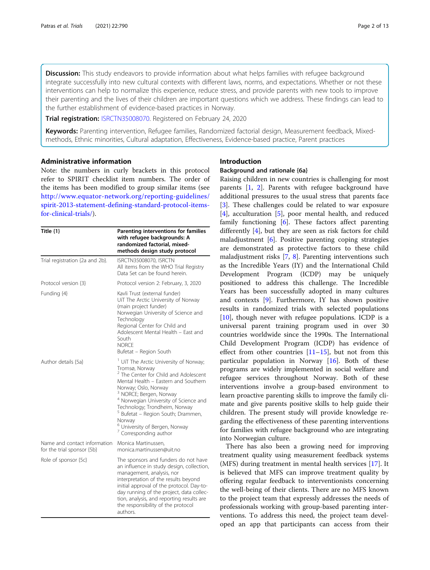Discussion: This study endeavors to provide information about what helps families with refugee background integrate successfully into new cultural contexts with different laws, norms, and expectations. Whether or not these interventions can help to normalize this experience, reduce stress, and provide parents with new tools to improve their parenting and the lives of their children are important questions which we address. These findings can lead to the further establishment of evidence-based practices in Norway.

Trial registration: [ISRCTN35008070](https://doi.org/10.1186/ISRCTN35008070). Registered on February 24, 2020

Keywords: Parenting intervention, Refugee families, Randomized factorial design, Measurement feedback, Mixedmethods, Ethnic minorities, Cultural adaptation, Effectiveness, Evidence-based practice, Parent practices

## Administrative information

Note: the numbers in curly brackets in this protocol refer to SPIRIT checklist item numbers. The order of the items has been modified to group similar items (see [http://www.equator-network.org/reporting-guidelines/](http://www.equator-network.org/reporting-guidelines/spirit-2013-statement-defining-standard-protocol-items-for-clinical-trials/) [spirit-2013-statement-defining-standard-protocol-items](http://www.equator-network.org/reporting-guidelines/spirit-2013-statement-defining-standard-protocol-items-for-clinical-trials/)[for-clinical-trials/](http://www.equator-network.org/reporting-guidelines/spirit-2013-statement-defining-standard-protocol-items-for-clinical-trials/)).

| Title $\{1\}$                                              | Parenting interventions for families<br>with refugee backgrounds: A<br>randomized factorial, mixed-<br>methods design study protocol                                                                                                                                                                                                                                                                                                                            |
|------------------------------------------------------------|-----------------------------------------------------------------------------------------------------------------------------------------------------------------------------------------------------------------------------------------------------------------------------------------------------------------------------------------------------------------------------------------------------------------------------------------------------------------|
| Trial registration {2a and 2b}.                            | ISRCTN35008070, ISRCTN<br>All items from the WHO Trial Registry<br>Data Set can be found herein.                                                                                                                                                                                                                                                                                                                                                                |
| Protocol version {3}                                       | Protocol version 2: February, 3, 2020                                                                                                                                                                                                                                                                                                                                                                                                                           |
| Funding {4}                                                | Kavli Trust (external funder)<br>UiT The Arctic University of Norway<br>(main project funder)<br>Norwegian University of Science and<br>Technology<br>Regional Center for Child and<br>Adolescent Mental Health - East and<br>South<br><b>NORCE</b><br>Bufetat - Region South                                                                                                                                                                                   |
| Author details {5a}                                        | <sup>1</sup> UiT The Arctic University of Norway;<br>Tromsø, Norway<br><sup>2</sup> The Center for Child and Adolescent<br>Mental Health - Eastern and Southern<br>Norway; Oslo, Norway<br><sup>3</sup> NORCE; Bergen, Norway<br><sup>4</sup> Norwegian University of Science and<br>Technology; Trondheim, Norway<br><sup>5</sup> Bufetat – Region South; Drammen,<br>Norway<br><sup>6</sup> University of Bergen, Norway<br><sup>7</sup> Corresponding author |
| Name and contact information<br>for the trial sponsor {5b} | Monica Martinussen.<br>monica.martinussen@uit.no                                                                                                                                                                                                                                                                                                                                                                                                                |
| Role of sponsor {5c}                                       | The sponsors and funders do not have<br>an influence in study design, collection,<br>management, analysis, nor<br>interpretation of the results beyond<br>initial approval of the protocol. Day-to-<br>day running of the project, data collec-<br>tion, analysis, and reporting results are<br>the responsibility of the protocol<br>authors.                                                                                                                  |

## Introduction

## Background and rationale {6a}

Raising children in new countries is challenging for most parents [\[1](#page-12-0), [2\]](#page-12-0). Parents with refugee background have additional pressures to the usual stress that parents face [[3\]](#page-12-0). These challenges could be related to war exposure [[4\]](#page-12-0), acculturation [\[5\]](#page-12-0), poor mental health, and reduced family functioning [[6\]](#page-12-0). These factors affect parenting differently [[4\]](#page-12-0), but they are seen as risk factors for child maladjustment [\[6](#page-12-0)]. Positive parenting coping strategies are demonstrated as protective factors to these child maladjustment risks [[7,](#page-12-0) [8](#page-12-0)]. Parenting interventions such as the Incredible Years (IY) and the International Child Development Program (ICDP) may be uniquely positioned to address this challenge. The Incredible Years has been successfully adopted in many cultures and contexts [[9](#page-12-0)]. Furthermore, IY has shown positive results in randomized trials with selected populations [[10\]](#page-12-0), though never with refugee populations. ICDP is a universal parent training program used in over 30 countries worldwide since the 1990s. The International Child Development Program (ICDP) has evidence of effect from other countries  $[11–15]$  $[11–15]$  $[11–15]$  $[11–15]$  $[11–15]$ , but not from this particular population in Norway [\[16](#page-12-0)]. Both of these programs are widely implemented in social welfare and refugee services throughout Norway. Both of these interventions involve a group-based environment to learn proactive parenting skills to improve the family climate and give parents positive skills to help guide their children. The present study will provide knowledge regarding the effectiveness of these parenting interventions for families with refugee background who are integrating into Norwegian culture.

There has also been a growing need for improving treatment quality using measurement feedback systems (MFS) during treatment in mental health services [\[17\]](#page-12-0). It is believed that MFS can improve treatment quality by offering regular feedback to interventionists concerning the well-being of their clients. There are no MFS known to the project team that expressly addresses the needs of professionals working with group-based parenting interventions. To address this need, the project team developed an app that participants can access from their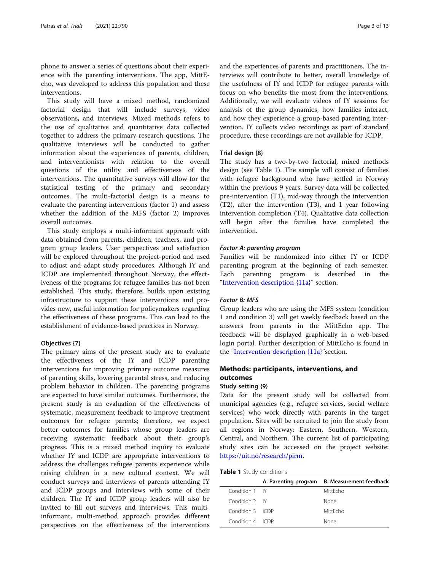phone to answer a series of questions about their experience with the parenting interventions. The app, MittEcho, was developed to address this population and these interventions.

This study will have a mixed method, randomized factorial design that will include surveys, video observations, and interviews. Mixed methods refers to the use of qualitative and quantitative data collected together to address the primary research questions. The qualitative interviews will be conducted to gather information about the experiences of parents, children, and interventionists with relation to the overall questions of the utility and effectiveness of the interventions. The quantitative surveys will allow for the statistical testing of the primary and secondary outcomes. The multi-factorial design is a means to evaluate the parenting interventions (factor 1) and assess whether the addition of the MFS (factor 2) improves overall outcomes.

This study employs a multi-informant approach with data obtained from parents, children, teachers, and program group leaders. User perspectives and satisfaction will be explored throughout the project-period and used to adjust and adapt study procedures. Although IY and ICDP are implemented throughout Norway, the effectiveness of the programs for refugee families has not been established. This study, therefore, builds upon existing infrastructure to support these interventions and provides new, useful information for policymakers regarding the effectiveness of these programs. This can lead to the establishment of evidence-based practices in Norway.

## Objectives {7}

The primary aims of the present study are to evaluate the effectiveness of the IY and ICDP parenting interventions for improving primary outcome measures of parenting skills, lowering parental stress, and reducing problem behavior in children. The parenting programs are expected to have similar outcomes. Furthermore, the present study is an evaluation of the effectiveness of systematic, measurement feedback to improve treatment outcomes for refugee parents; therefore, we expect better outcomes for families whose group leaders are receiving systematic feedback about their group's progress. This is a mixed method inquiry to evaluate whether IY and ICDP are appropriate interventions to address the challenges refugee parents experience while raising children in a new cultural context. We will conduct surveys and interviews of parents attending IY and ICDP groups and interviews with some of their children. The IY and ICDP group leaders will also be invited to fill out surveys and interviews. This multiinformant, multi-method approach provides different perspectives on the effectiveness of the interventions and the experiences of parents and practitioners. The interviews will contribute to better, overall knowledge of the usefulness of IY and ICDP for refugee parents with focus on who benefits the most from the interventions. Additionally, we will evaluate videos of IY sessions for analysis of the group dynamics, how families interact, and how they experience a group-based parenting intervention. IY collects video recordings as part of standard procedure, these recordings are not available for ICDP.

## Trial design {8}

The study has a two-by-two factorial, mixed methods design (see Table 1). The sample will consist of families with refugee background who have settled in Norway within the previous 9 years. Survey data will be collected pre-intervention (T1), mid-way through the intervention (T2), after the intervention (T3), and 1 year following intervention completion (T4). Qualitative data collection will begin after the families have completed the intervention.

## Factor A: parenting program

Families will be randomized into either IY or ICDP parenting program at the beginning of each semester. Each parenting program is described in the "[Intervention description {11a}](#page-3-0)" section.

## Factor B: MFS

Group leaders who are using the MFS system (condition 1 and condition 3) will get weekly feedback based on the answers from parents in the MittEcho app. The feedback will be displayed graphically in a web-based login portal. Further description of MittEcho is found in the "[Intervention description {11a}](#page-3-0)"section.

## Methods: participants, interventions, and outcomes

## Study setting {9}

Data for the present study will be collected from municipal agencies (e.g., refugee services, social welfare services) who work directly with parents in the target population. Sites will be recruited to join the study from all regions in Norway: Eastern, Southern, Western, Central, and Northern. The current list of participating study sites can be accessed on the project website: <https://uit.no/research/pirm>.

| Table 1 Study conditions |  |
|--------------------------|--|
|--------------------------|--|

|                  | A. Parenting program B. Measurement feedback |
|------------------|----------------------------------------------|
| Condition 1 IY   | MittFcho                                     |
| Condition 2 IY   | None                                         |
| Condition 3 ICDP | MittFcho                                     |
| Condition 4 ICDP | None                                         |
|                  |                                              |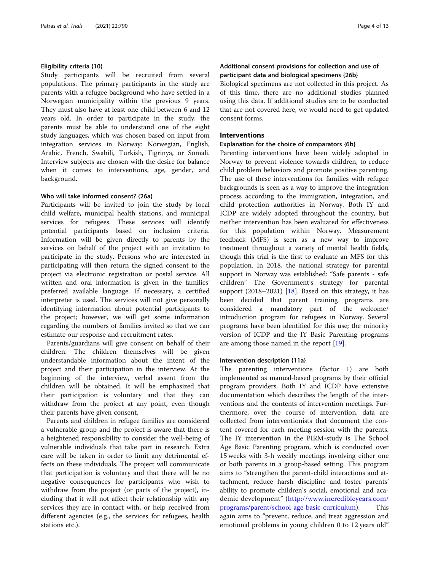## <span id="page-3-0"></span>Eligibility criteria {10}

Study participants will be recruited from several populations. The primary participants in the study are parents with a refugee background who have settled in a Norwegian municipality within the previous 9 years. They must also have at least one child between 6 and 12 years old. In order to participate in the study, the parents must be able to understand one of the eight study languages, which was chosen based on input from integration services in Norway: Norwegian, English, Arabic, French, Swahili, Turkish, Tigrinya, or Somali. Interview subjects are chosen with the desire for balance when it comes to interventions, age, gender, and background.

#### Who will take informed consent? {26a}

Participants will be invited to join the study by local child welfare, municipal health stations, and municipal services for refugees. These services will identify potential participants based on inclusion criteria. Information will be given directly to parents by the services on behalf of the project with an invitation to participate in the study. Persons who are interested in participating will then return the signed consent to the project via electronic registration or postal service. All written and oral information is given in the families' preferred available language. If necessary, a certified interpreter is used. The services will not give personally identifying information about potential participants to the project; however, we will get some information regarding the numbers of families invited so that we can estimate our response and recruitment rates.

Parents/guardians will give consent on behalf of their children. The children themselves will be given understandable information about the intent of the project and their participation in the interview. At the beginning of the interview, verbal assent from the children will be obtained. It will be emphasized that their participation is voluntary and that they can withdraw from the project at any point, even though their parents have given consent.

Parents and children in refugee families are considered a vulnerable group and the project is aware that there is a heightened responsibility to consider the well-being of vulnerable individuals that take part in research. Extra care will be taken in order to limit any detrimental effects on these individuals. The project will communicate that participation is voluntary and that there will be no negative consequences for participants who wish to withdraw from the project (or parts of the project), including that it will not affect their relationship with any services they are in contact with, or help received from different agencies (e.g., the services for refugees, health stations etc.).

## Additional consent provisions for collection and use of participant data and biological specimens {26b}

Biological specimens are not collected in this project. As of this time, there are no additional studies planned using this data. If additional studies are to be conducted that are not covered here, we would need to get updated consent forms.

## Interventions

## Explanation for the choice of comparators {6b}

Parenting interventions have been widely adopted in Norway to prevent violence towards children, to reduce child problem behaviors and promote positive parenting. The use of these interventions for families with refugee backgrounds is seen as a way to improve the integration process according to the immigration, integration, and child protection authorities in Norway. Both IY and ICDP are widely adopted throughout the country, but neither intervention has been evaluated for effectiveness for this population within Norway. Measurement feedback (MFS) is seen as a new way to improve treatment throughout a variety of mental health fields, though this trial is the first to evaluate an MFS for this population. In 2018, the national strategy for parental support in Norway was established: "Safe parents - safe children" The Government's strategy for parental support  $(2018-2021)$  $(2018-2021)$  $(2018-2021)$  [18]. Based on this strategy, it has been decided that parent training programs are considered a mandatory part of the welcome/ introduction program for refugees in Norway. Several programs have been identified for this use; the minority version of ICDP and the IY Basic Parenting programs are among those named in the report [\[19](#page-12-0)].

#### Intervention description {11a}

The parenting interventions (factor 1) are both implemented as manual-based programs by their official program providers. Both IY and ICDP have extensive documentation which describes the length of the interventions and the contents of intervention meetings. Furthermore, over the course of intervention, data are collected from interventionists that document the content covered for each meeting session with the parents. The IY intervention in the PIRM-study is The School Age Basic Parenting program, which is conducted over 15 weeks with 3-h weekly meetings involving either one or both parents in a group-based setting. This program aims to "strengthen the parent-child interactions and attachment, reduce harsh discipline and foster parents' ability to promote children's social, emotional and academic development" ([http://www.incredibleyears.com/](http://www.incredibleyears.com/programs/parent/school-age-basic-curriculum) [programs/parent/school-age-basic-curriculum](http://www.incredibleyears.com/programs/parent/school-age-basic-curriculum)). This again aims to "prevent, reduce, and treat aggression and emotional problems in young children 0 to 12 years old"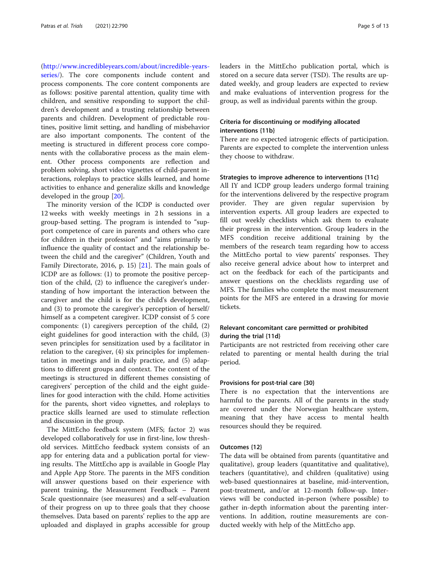<span id="page-4-0"></span>([http://www.incredibleyears.com/about/incredible-years](http://www.incredibleyears.com/about/incredible-years-series/)[series/\)](http://www.incredibleyears.com/about/incredible-years-series/). The core components include content and process components. The core content components are as follows: positive parental attention, quality time with children, and sensitive responding to support the children's development and a trusting relationship between parents and children. Development of predictable routines, positive limit setting, and handling of misbehavior are also important components. The content of the meeting is structured in different process core components with the collaborative process as the main element. Other process components are reflection and problem solving, short video vignettes of child-parent interactions, roleplays to practice skills learned, and home activities to enhance and generalize skills and knowledge developed in the group [\[20](#page-12-0)].

The minority version of the ICDP is conducted over 12 weeks with weekly meetings in 2 h sessions in a group-based setting. The program is intended to "support competence of care in parents and others who care for children in their profession" and "aims primarily to influence the quality of contact and the relationship between the child and the caregiver" (Children, Youth and Family Directorate, 2016, p. 15) [[21](#page-12-0)]. The main goals of ICDP are as follows: (1) to promote the positive perception of the child, (2) to influence the caregiver's understanding of how important the interaction between the caregiver and the child is for the child's development, and (3) to promote the caregiver's perception of herself/ himself as a competent caregiver. ICDP consist of 5 core components: (1) caregivers perception of the child, (2) eight guidelines for good interaction with the child, (3) seven principles for sensitization used by a facilitator in relation to the caregiver, (4) six principles for implementation in meetings and in daily practice, and (5) adaptions to different groups and context. The content of the meetings is structured in different themes consisting of caregivers' perception of the child and the eight guidelines for good interaction with the child. Home activities for the parents, short video vignettes, and roleplays to practice skills learned are used to stimulate reflection and discussion in the group.

The MittEcho feedback system (MFS; factor 2) was developed collaboratively for use in first-line, low threshold services. MittEcho feedback system consists of an app for entering data and a publication portal for viewing results. The MittEcho app is available in Google Play and Apple App Store. The parents in the MFS condition will answer questions based on their experience with parent training, the Measurement Feedback – Parent Scale questionnaire (see measures) and a self-evaluation of their progress on up to three goals that they choose themselves. Data based on parents' replies to the app are uploaded and displayed in graphs accessible for group leaders in the MittEcho publication portal, which is stored on a secure data server (TSD). The results are updated weekly, and group leaders are expected to review and make evaluations of intervention progress for the group, as well as individual parents within the group.

## Criteria for discontinuing or modifying allocated interventions {11b}

There are no expected iatrogenic effects of participation. Parents are expected to complete the intervention unless they choose to withdraw.

#### Strategies to improve adherence to interventions {11c}

All IY and ICDP group leaders undergo formal training for the interventions delivered by the respective program provider. They are given regular supervision by intervention experts. All group leaders are expected to fill out weekly checklists which ask them to evaluate their progress in the intervention. Group leaders in the MFS condition receive additional training by the members of the research team regarding how to access the MittEcho portal to view parents' responses. They also receive general advice about how to interpret and act on the feedback for each of the participants and answer questions on the checklists regarding use of MFS. The families who complete the most measurement points for the MFS are entered in a drawing for movie tickets.

## Relevant concomitant care permitted or prohibited during the trial {11d}

Participants are not restricted from receiving other care related to parenting or mental health during the trial period.

#### Provisions for post-trial care {30}

There is no expectation that the interventions are harmful to the parents. All of the parents in the study are covered under the Norwegian healthcare system, meaning that they have access to mental health resources should they be required.

## Outcomes {12}

The data will be obtained from parents (quantitative and qualitative), group leaders (quantitative and qualitative), teachers (quantitative), and children (qualitative) using web-based questionnaires at baseline, mid-intervention, post-treatment, and/or at 12-month follow-up. Interviews will be conducted in-person (where possible) to gather in-depth information about the parenting interventions. In addition, routine measurements are conducted weekly with help of the MittEcho app.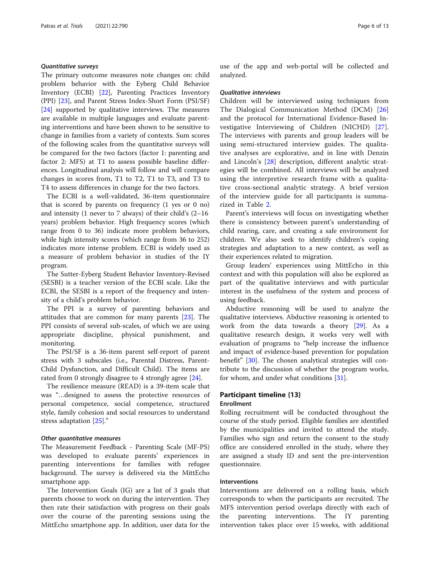#### Quantitative surveys

The primary outcome measures note changes on: child problem behavior with the Eyberg Child Behavior Inventory (ECBI) [\[22](#page-12-0)], Parenting Practices Inventory (PPI) [[23\]](#page-12-0), and Parent Stress Index-Short Form (PSI/SF) [[24\]](#page-12-0) supported by qualitative interviews. The measures are available in multiple languages and evaluate parenting interventions and have been shown to be sensitive to change in families from a variety of contexts. Sum scores of the following scales from the quantitative surveys will be compared for the two factors (factor 1: parenting and factor 2: MFS) at T1 to assess possible baseline differences. Longitudinal analysis will follow and will compare changes in scores from, T1 to T2, T1 to T3, and T3 to T4 to assess differences in change for the two factors.

The ECBI is a well-validated, 36-item questionnaire that is scored by parents on frequency (1 yes or 0 no) and intensity (1 never to 7 always) of their child's (2–16 years) problem behavior. High frequency scores (which range from 0 to 36) indicate more problem behaviors, while high intensity scores (which range from 36 to 252) indicates more intense problem. ECBI is widely used as a measure of problem behavior in studies of the IY program.

The Sutter-Eyberg Student Behavior Inventory-Revised (SESBI) is a teacher version of the ECBI scale. Like the ECBI, the SESBI is a report of the frequency and intensity of a child's problem behavior.

The PPI is a survey of parenting behaviors and attitudes that are common for many parents [[23\]](#page-12-0). The PPI consists of several sub-scales, of which we are using appropriate discipline, physical punishment, and monitoring.

The PSI/SF is a 36-item parent self-report of parent stress with 3 subscales (i.e., Parental Distress, Parent-Child Dysfunction, and Difficult Child). The items are rated from 0 strongly disagree to 4 strongly agree [\[24](#page-12-0)].

The resilience measure (READ) is a 39-item scale that was "…designed to assess the protective resources of personal competence, social competence, structured style, family cohesion and social resources to understand stress adaptation [\[25](#page-12-0)]."

#### Other quantitative measures

The Measurement Feedback - Parenting Scale (MF-PS) was developed to evaluate parents' experiences in parenting interventions for families with refugee background. The survey is delivered via the MittEcho smartphone app.

The Intervention Goals (IG) are a list of 3 goals that parents choose to work on during the intervention. They then rate their satisfaction with progress on their goals over the course of the parenting sessions using the MittEcho smartphone app. In addition, user data for the use of the app and web-portal will be collected and analyzed.

#### Qualitative interviews

Children will be interviewed using techniques from The Dialogical Communication Method (DCM) [\[26](#page-12-0)] and the protocol for International Evidence-Based Investigative Interviewing of Children (NICHD) [\[27](#page-12-0)]. The interviews with parents and group leaders will be using semi-structured interview guides. The qualitative analyses are explorative, and in line with Denzin and Lincoln's [[28\]](#page-12-0) description, different analytic strategies will be combined. All interviews will be analyzed using the interpretive research frame with a qualitative cross-sectional analytic strategy. A brief version of the interview guide for all participants is summarized in Table [2.](#page-6-0)

Parent's interviews will focus on investigating whether there is consistency between parent's understanding of child rearing, care, and creating a safe environment for children. We also seek to identify children's coping strategies and adaptation to a new context, as well as their experiences related to migration.

Group leaders' experiences using MittEcho in this context and with this population will also be explored as part of the qualitative interviews and with particular interest in the usefulness of the system and process of using feedback.

Abductive reasoning will be used to analyze the qualitative interviews. Abductive reasoning is oriented to work from the data towards a theory [\[29](#page-12-0)]. As a qualitative research design, it works very well with evaluation of programs to "help increase the influence and impact of evidence-based prevention for population benefit" [[30](#page-12-0)]. The chosen analytical strategies will contribute to the discussion of whether the program works, for whom, and under what conditions [\[31](#page-12-0)].

#### Participant timeline {13}

#### Enrollment

Rolling recruitment will be conducted throughout the course of the study period. Eligible families are identified by the municipalities and invited to attend the study. Families who sign and return the consent to the study office are considered enrolled in the study, where they are assigned a study ID and sent the pre-intervention questionnaire.

#### Interventions

Interventions are delivered on a rolling basis, which corresponds to when the participants are recruited. The MFS intervention period overlaps directly with each of the parenting interventions. The IY parenting intervention takes place over 15 weeks, with additional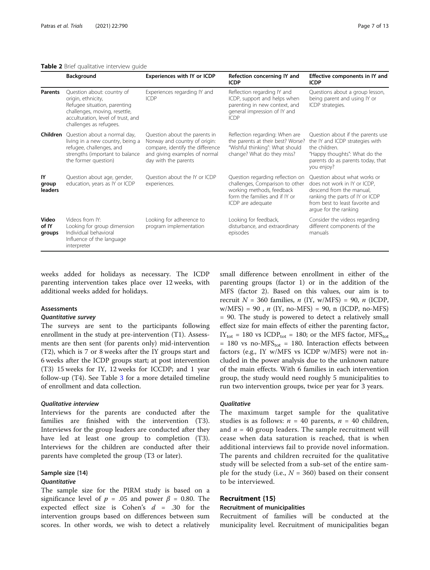#### <span id="page-6-0"></span>Table 2 Brief qualitative interview quide

|                          | Background                                                                                                                                                                         | Experiences with IY or ICDP                                                                                                                                 | Refection concerning IY and<br><b>ICDP</b>                                                                                                              | Effective components in IY and<br><b>ICDP</b>                                                                                                                                           |
|--------------------------|------------------------------------------------------------------------------------------------------------------------------------------------------------------------------------|-------------------------------------------------------------------------------------------------------------------------------------------------------------|---------------------------------------------------------------------------------------------------------------------------------------------------------|-----------------------------------------------------------------------------------------------------------------------------------------------------------------------------------------|
| Parents                  | Question about: country of<br>origin, ethnicity,<br>Refugee situation, parenting<br>challenges, moving, resettle,<br>acculturation, level of trust, and<br>challenges as refugees. | Experiences regarding IY and<br><b>ICDP</b>                                                                                                                 | Reflection regarding IY and<br>ICDP, support and helps when<br>parenting in new context, and<br>general impression of IY and<br><b>ICDP</b>             | Questions about a group lesson,<br>being parent and using IY or<br>ICDP strategies.                                                                                                     |
| <b>Children</b>          | Question about a normal day,<br>living in a new country, being a<br>refugee, challenges, and<br>strengths (important to balance<br>the former question)                            | Question about the parents in<br>Norway and country of origin:<br>compare, identify the difference<br>and giving examples of normal<br>day with the parents | Reflection regarding: When are<br>the parents at their best? Worse?<br>"Wishful thinking": What should<br>change? What do they miss?                    | Question about if the parents use<br>the IY and ICDP strategies with<br>the children.<br>"Happy thoughts": What do the<br>parents do as parents today, that<br>you enjoy?               |
| IY<br>group<br>leaders   | Question about age, gender,<br>education, years as IY or ICDP                                                                                                                      | Ouestion about the IY or ICDP<br>experiences.                                                                                                               | Question regarding reflection on<br>challenges, Comparison to other<br>working methods, feedback<br>form the families and if IY or<br>ICDP are adequate | Ouestion about what works or<br>does not work in IY or ICDP,<br>descend from the manual,<br>ranking the parts of IY or ICDP<br>from best to least favorite and<br>arque for the ranking |
| Video<br>of IY<br>groups | Videos from IY:<br>Looking for group dimension<br>Individual behavioral<br>Influence of the language<br>interpreter                                                                | Looking for adherence to<br>program implementation                                                                                                          | Looking for feedback,<br>disturbance, and extraordinary<br>episodes                                                                                     | Consider the videos regarding<br>different components of the<br>manuals                                                                                                                 |

weeks added for holidays as necessary. The ICDP parenting intervention takes place over 12 weeks, with additional weeks added for holidays.

#### **Assessments**

#### Quantitative survey

The surveys are sent to the participants following enrollment in the study at pre-intervention (T1). Assessments are then sent (for parents only) mid-intervention (T2), which is 7 or 8 weeks after the IY groups start and 6 weeks after the ICDP groups start; at post intervention (T3) 15 weeks for IY, 12 weeks for ICCDP; and 1 year follow-up (T4). See Table [3](#page-7-0) for a more detailed timeline of enrollment and data collection.

## Qualitative interview

Interviews for the parents are conducted after the families are finished with the intervention (T3). Interviews for the group leaders are conducted after they have led at least one group to completion (T3). Interviews for the children are conducted after their parents have completed the group (T3 or later).

## Sample size {14} **Quantitative**

The sample size for the PIRM study is based on a significance level of  $p = .05$  and power  $\beta = 0.80$ . The expected effect size is Cohen's  $d = .30$  for the intervention groups based on differences between sum scores. In other words, we wish to detect a relatively small difference between enrollment in either of the parenting groups (factor 1) or in the addition of the MFS (factor 2). Based on this values, our aim is to recruit  $N = 360$  families, n (IY, w/MFS) = 90, n (ICDP,  $w/MFS$  = 90, *n* (IY, no-MFS) = 90, n (ICDP, no-MFS) = 90. The study is powered to detect a relatively small effect size for main effects of either the parenting factor,  $IY_{\text{tot}} = 180$  vs ICDP<sub>tot</sub> = 180; or the MFS factor, MFS<sub>tot</sub>  $= 180$  vs no-MFS<sub>tot</sub>  $= 180$ . Interaction effects between factors (e.g., IY w/MFS vs ICDP w/MFS) were not included in the power analysis due to the unknown nature of the main effects. With 6 families in each intervention group, the study would need roughly 5 municipalities to run two intervention groups, twice per year for 3 years.

#### **Qualitative**

The maximum target sample for the qualitative studies is as follows:  $n = 40$  parents,  $n = 40$  children, and  $n = 40$  group leaders. The sample recruitment will cease when data saturation is reached, that is when additional interviews fail to provide novel information. The parents and children recruited for the qualitative study will be selected from a sub-set of the entire sample for the study (i.e.,  $N = 360$ ) based on their consent to be interviewed.

## Recruitment {15}

## Recruitment of municipalities

Recruitment of families will be conducted at the municipality level. Recruitment of municipalities began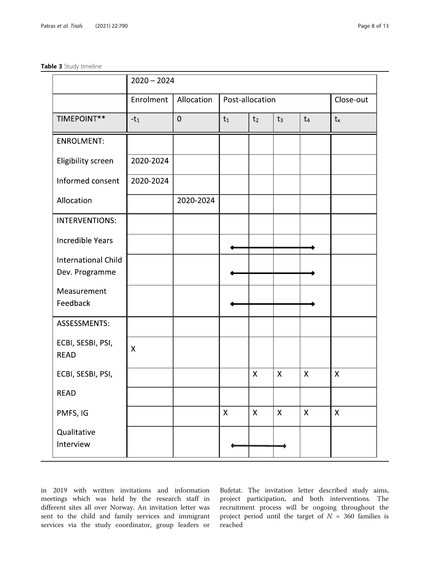## <span id="page-7-0"></span>Table 3 Study timeline

|                                              | $2020 - 2024$ |             |              |                  |                           |                           |                           |
|----------------------------------------------|---------------|-------------|--------------|------------------|---------------------------|---------------------------|---------------------------|
|                                              | Enrolment     | Allocation  |              | Post-allocation  |                           |                           | Close-out                 |
| TIMEPOINT**                                  | $-t_1$        | $\mathbf 0$ | $t_1$        | t <sub>2</sub>   | $t_3$                     | $t_4$                     | $t_{x}$                   |
| <b>ENROLMENT:</b>                            |               |             |              |                  |                           |                           |                           |
| Eligibility screen                           | 2020-2024     |             |              |                  |                           |                           |                           |
| Informed consent                             | 2020-2024     |             |              |                  |                           |                           |                           |
| Allocation                                   |               | 2020-2024   |              |                  |                           |                           |                           |
| INTERVENTIONS:                               |               |             |              |                  |                           |                           |                           |
| <b>Incredible Years</b>                      |               |             |              |                  |                           |                           |                           |
| <b>International Child</b><br>Dev. Programme |               |             |              |                  |                           |                           |                           |
| Measurement<br>Feedback                      |               |             |              |                  |                           |                           |                           |
| ASSESSMENTS:                                 |               |             |              |                  |                           |                           |                           |
| ECBI, SESBI, PSI,<br><b>READ</b>             | $\sf X$       |             |              |                  |                           |                           |                           |
| ECBI, SESBI, PSI,                            |               |             |              | $\boldsymbol{X}$ | $\boldsymbol{\mathsf{X}}$ | $\boldsymbol{\mathsf{X}}$ | $\boldsymbol{\mathsf{X}}$ |
| <b>READ</b>                                  |               |             |              |                  |                           |                           |                           |
| PMFS, IG                                     |               |             | $\mathsf{X}$ | $\pmb{\times}$   | $\mathsf{X}$              | $\mathsf X$               | $\boldsymbol{\mathsf{X}}$ |
| Qualitative<br>Interview                     |               |             |              |                  |                           |                           |                           |

in 2019 with written invitations and information meetings which was held by the research staff in different sites all over Norway. An invitation letter was sent to the child and family services and immigrant services via the study coordinator, group leaders or

Bufetat. The invitation letter described study aims, project participation, and both interventions. The recruitment process will be ongoing throughout the project period until the target of  $N = 360$  families is reached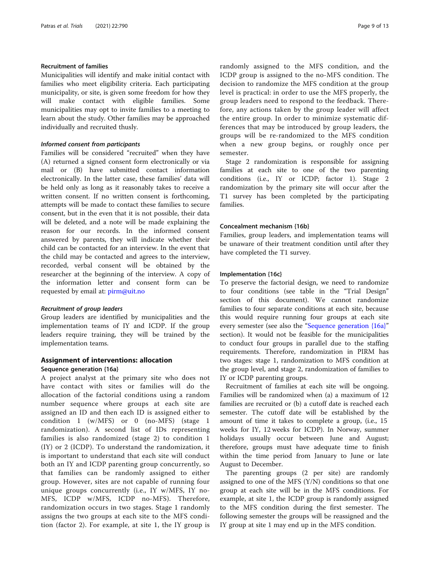## Recruitment of families

Municipalities will identify and make initial contact with families who meet eligibility criteria. Each participating municipality, or site, is given some freedom for how they will make contact with eligible families. Some municipalities may opt to invite families to a meeting to learn about the study. Other families may be approached individually and recruited thusly.

## Informed consent from participants

Families will be considered "recruited" when they have (A) returned a signed consent form electronically or via mail or (B) have submitted contact information electronically. In the latter case, these families' data will be held only as long as it reasonably takes to receive a written consent. If no written consent is forthcoming, attempts will be made to contact these families to secure consent, but in the even that it is not possible, their data will be deleted, and a note will be made explaining the reason for our records. In the informed consent answered by parents, they will indicate whether their child can be contacted for an interview. In the event that the child may be contacted and agrees to the interview, recorded, verbal consent will be obtained by the researcher at the beginning of the interview. A copy of the information letter and consent form can be requested by email at: [pirm@uit.no](mailto:pirm@uit.no)

#### Recruitment of group leaders

Group leaders are identified by municipalities and the implementation teams of IY and ICDP. If the group leaders require training, they will be trained by the implementation teams.

## Assignment of interventions: allocation Sequence generation {16a}

A project analyst at the primary site who does not have contact with sites or families will do the allocation of the factorial conditions using a random number sequence where groups at each site are assigned an ID and then each ID is assigned either to condition 1 (w/MFS) or 0 (no-MFS) (stage 1 randomization). A second list of IDs representing families is also randomized (stage 2) to condition 1 (IY) or 2 (ICDP). To understand the randomization, it is important to understand that each site will conduct both an IY and ICDP parenting group concurrently, so that families can be randomly assigned to either group. However, sites are not capable of running four unique groups concurrently (i.e., IY w/MFS, IY no-MFS, ICDP w/MFS, ICDP no-MFS). Therefore, randomization occurs in two stages. Stage 1 randomly assigns the two groups at each site to the MFS condition (factor 2). For example, at site 1, the IY group is randomly assigned to the MFS condition, and the ICDP group is assigned to the no-MFS condition. The decision to randomize the MFS condition at the group level is practical: in order to use the MFS properly, the group leaders need to respond to the feedback. Therefore, any actions taken by the group leader will affect the entire group. In order to minimize systematic differences that may be introduced by group leaders, the groups will be re-randomized to the MFS condition when a new group begins, or roughly once per semester.

Stage 2 randomization is responsible for assigning families at each site to one of the two parenting conditions (i.e., IY or ICDP; factor 1). Stage 2 randomization by the primary site will occur after the T1 survey has been completed by the participating families.

#### Concealment mechanism {16b}

Families, group leaders, and implementation teams will be unaware of their treatment condition until after they have completed the T1 survey.

## Implementation {16c}

To preserve the factorial design, we need to randomize to four conditions (see table in the "Trial Design" section of this document). We cannot randomize families to four separate conditions at each site, because this would require running four groups at each site every semester (see also the "Sequence generation {16a}" section). It would not be feasible for the municipalities to conduct four groups in parallel due to the staffing requirements. Therefore, randomization in PIRM has two stages: stage 1, randomization to MFS condition at the group level, and stage 2, randomization of families to IY or ICDP parenting groups.

Recruitment of families at each site will be ongoing. Families will be randomized when (a) a maximum of 12 families are recruited or (b) a cutoff date is reached each semester. The cutoff date will be established by the amount of time it takes to complete a group, (i.e., 15 weeks for IY, 12 weeks for ICDP). In Norway, summer holidays usually occur between June and August; therefore, groups must have adequate time to finish within the time period from January to June or late August to December.

The parenting groups (2 per site) are randomly assigned to one of the MFS  $(Y/N)$  conditions so that one group at each site will be in the MFS conditions. For example, at site 1, the ICDP group is randomly assigned to the MFS condition during the first semester. The following semester the groups will be reassigned and the IY group at site 1 may end up in the MFS condition.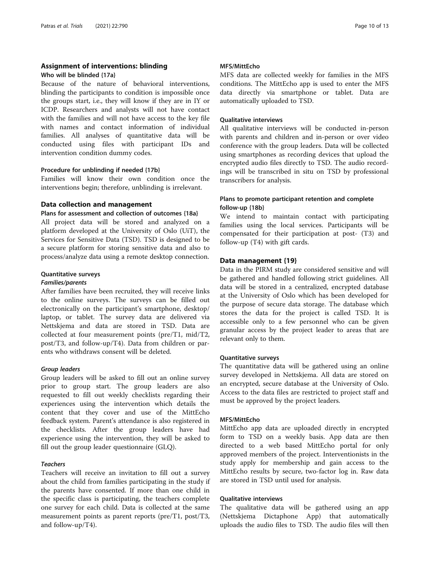## Assignment of interventions: blinding

Who will be blinded {17a}

Because of the nature of behavioral interventions, blinding the participants to condition is impossible once the groups start, i.e., they will know if they are in IY or ICDP. Researchers and analysts will not have contact with the families and will not have access to the key file with names and contact information of individual families. All analyses of quantitative data will be conducted using files with participant IDs and intervention condition dummy codes.

## Procedure for unblinding if needed {17b}

Families will know their own condition once the interventions begin; therefore, unblinding is irrelevant.

## Data collection and management

## Plans for assessment and collection of outcomes {18a}

All project data will be stored and analyzed on a platform developed at the University of Oslo (UiT), the Services for Sensitive Data (TSD). TSD is designed to be a secure platform for storing sensitive data and also to process/analyze data using a remote desktop connection.

#### Quantitative surveys

#### Families/parents

After families have been recruited, they will receive links to the online surveys. The surveys can be filled out electronically on the participant's smartphone, desktop/ laptop, or tablet. The survey data are delivered via Nettskjema and data are stored in TSD. Data are collected at four measurement points (pre/T1, mid/T2, post/T3, and follow-up/T4). Data from children or parents who withdraws consent will be deleted.

## Group leaders

Group leaders will be asked to fill out an online survey prior to group start. The group leaders are also requested to fill out weekly checklists regarding their experiences using the intervention which details the content that they cover and use of the MittEcho feedback system. Parent's attendance is also registered in the checklists. After the group leaders have had experience using the intervention, they will be asked to fill out the group leader questionnaire (GLQ).

## **Teachers**

Teachers will receive an invitation to fill out a survey about the child from families participating in the study if the parents have consented. If more than one child in the specific class is participating, the teachers complete one survey for each child. Data is collected at the same measurement points as parent reports (pre/T1, post/T3, and follow-up/T4).

#### MFS/MittEcho

MFS data are collected weekly for families in the MFS conditions. The MittEcho app is used to enter the MFS data directly via smartphone or tablet. Data are automatically uploaded to TSD.

## Qualitative interviews

All qualitative interviews will be conducted in-person with parents and children and in-person or over video conference with the group leaders. Data will be collected using smartphones as recording devices that upload the encrypted audio files directly to TSD. The audio recordings will be transcribed in situ on TSD by professional transcribers for analysis.

## Plans to promote participant retention and complete follow-up {18b}

We intend to maintain contact with participating families using the local services. Participants will be compensated for their participation at post- (T3) and follow-up (T4) with gift cards.

### Data management {19}

Data in the PIRM study are considered sensitive and will be gathered and handled following strict guidelines. All data will be stored in a centralized, encrypted database at the University of Oslo which has been developed for the purpose of secure data storage. The database which stores the data for the project is called TSD. It is accessible only to a few personnel who can be given granular access by the project leader to areas that are relevant only to them.

## Quantitative surveys

The quantitative data will be gathered using an online survey developed in Nettskjema. All data are stored on an encrypted, secure database at the University of Oslo. Access to the data files are restricted to project staff and must be approved by the project leaders.

## MFS/MittEcho

MittEcho app data are uploaded directly in encrypted form to TSD on a weekly basis. App data are then directed to a web based MittEcho portal for only approved members of the project. Interventionists in the study apply for membership and gain access to the MittEcho results by secure, two-factor log in. Raw data are stored in TSD until used for analysis.

#### Qualitative interviews

The qualitative data will be gathered using an app (Nettskjema Dictaphone App) that automatically uploads the audio files to TSD. The audio files will then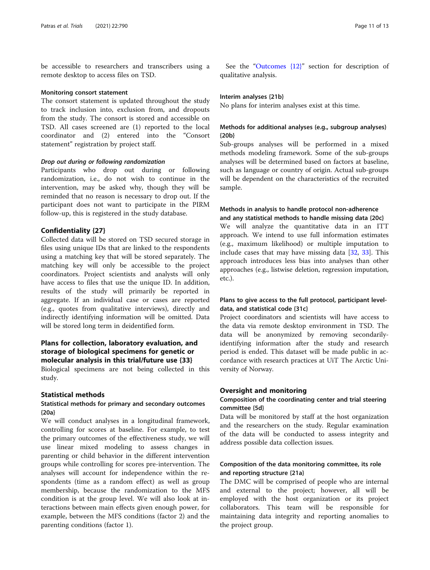be accessible to researchers and transcribers using a remote desktop to access files on TSD.

#### Monitoring consort statement

The consort statement is updated throughout the study to track inclusion into, exclusion from, and dropouts from the study. The consort is stored and accessible on TSD. All cases screened are (1) reported to the local coordinator and (2) entered into the "Consort statement" registration by project staff.

#### Drop out during or following randomization

Participants who drop out during or following randomization, i.e., do not wish to continue in the intervention, may be asked why, though they will be reminded that no reason is necessary to drop out. If the participant does not want to participate in the PIRM follow-up, this is registered in the study database.

#### Confidentiality {27}

Collected data will be stored on TSD secured storage in files using unique IDs that are linked to the respondents using a matching key that will be stored separately. The matching key will only be accessible to the project coordinators. Project scientists and analysts will only have access to files that use the unique ID. In addition, results of the study will primarily be reported in aggregate. If an individual case or cases are reported (e.g., quotes from qualitative interviews), directly and indirectly identifying information will be omitted. Data will be stored long term in deidentified form.

## Plans for collection, laboratory evaluation, and storage of biological specimens for genetic or molecular analysis in this trial/future use {33}

Biological specimens are not being collected in this study.

#### Statistical methods

## Statistical methods for primary and secondary outcomes {20a}

We will conduct analyses in a longitudinal framework, controlling for scores at baseline. For example, to test the primary outcomes of the effectiveness study, we will use linear mixed modeling to assess changes in parenting or child behavior in the different intervention groups while controlling for scores pre-intervention. The analyses will account for independence within the respondents (time as a random effect) as well as group membership, because the randomization to the MFS condition is at the group level. We will also look at interactions between main effects given enough power, for example, between the MFS conditions (factor 2) and the parenting conditions (factor 1).

See the "Outcomes  ${12}$ " section for description of qualitative analysis.

#### Interim analyses {21b}

No plans for interim analyses exist at this time.

## Methods for additional analyses (e.g., subgroup analyses) {20b}

Sub-groups analyses will be performed in a mixed methods modeling framework. Some of the sub-groups analyses will be determined based on factors at baseline, such as language or country of origin. Actual sub-groups will be dependent on the characteristics of the recruited sample.

## Methods in analysis to handle protocol non-adherence and any statistical methods to handle missing data {20c}

We will analyze the quantitative data in an ITT approach. We intend to use full information estimates (e.g., maximum likelihood) or multiple imputation to include cases that may have missing data [[32](#page-12-0), [33](#page-12-0)]. This approach introduces less bias into analyses than other approaches (e.g., listwise deletion, regression imputation, etc.).

## Plans to give access to the full protocol, participant leveldata, and statistical code {31c}

Project coordinators and scientists will have access to the data via remote desktop environment in TSD. The data will be anonymized by removing secondarilyidentifying information after the study and research period is ended. This dataset will be made public in accordance with research practices at UiT The Arctic University of Norway.

#### Oversight and monitoring

## Composition of the coordinating center and trial steering committee {5d}

Data will be monitored by staff at the host organization and the researchers on the study. Regular examination of the data will be conducted to assess integrity and address possible data collection issues.

## Composition of the data monitoring committee, its role and reporting structure {21a}

The DMC will be comprised of people who are internal and external to the project; however, all will be employed with the host organization or its project collaborators. This team will be responsible for maintaining data integrity and reporting anomalies to the project group.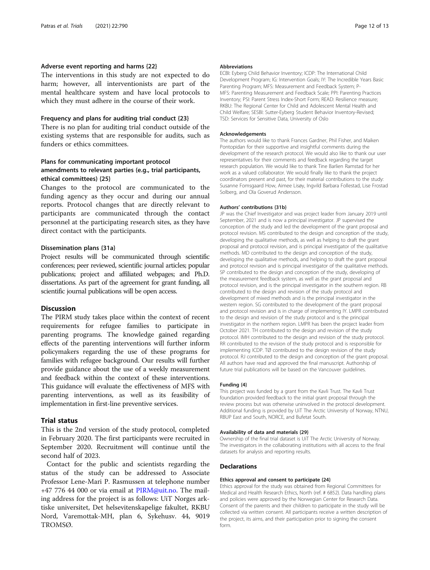## Adverse event reporting and harms {22}

The interventions in this study are not expected to do harm; however, all interventionists are part of the mental healthcare system and have local protocols to which they must adhere in the course of their work.

## Frequency and plans for auditing trial conduct {23}

There is no plan for auditing trial conduct outside of the existing systems that are responsible for audits, such as funders or ethics committees.

## Plans for communicating important protocol amendments to relevant parties (e.g., trial participants, ethical committees) {25}

Changes to the protocol are communicated to the funding agency as they occur and during our annual reports. Protocol changes that are directly relevant to participants are communicated through the contact personnel at the participating research sites, as they have direct contact with the participants.

#### Dissemination plans {31a}

Project results will be communicated through scientific conferences; peer reviewed, scientific journal articles; popular publications; project and affiliated webpages; and Ph.D. dissertations. As part of the agreement for grant funding, all scientific journal publications will be open access.

## Discussion

The PIRM study takes place within the context of recent requirements for refugee families to participate in parenting programs. The knowledge gained regarding effects of the parenting interventions will further inform policymakers regarding the use of these programs for families with refugee background. Our results will further provide guidance about the use of a weekly measurement and feedback within the context of these interventions. This guidance will evaluate the effectiveness of MFS with parenting interventions, as well as its feasibility of implementation in first-line preventive services.

## Trial status

This is the 2nd version of the study protocol, completed in February 2020. The first participants were recruited in September 2020. Recruitment will continue until the second half of 2023.

Contact for the public and scientists regarding the status of the study can be addressed to Associate Professor Lene-Mari P. Rasmussen at telephone number +47 776 44 000 or via email at [PIRM@uit.no](mailto:PIRM@uit.no). The mailing address for the project is as follows: UiT Norges arktiske universitet, Det helsevitenskapelige fakultet, RKBU Nord, Varemottak-MH, plan 6, Sykehusv. 44, 9019 TROMSØ.

#### Abbreviations

ECBI: Eyberg Child Behavior Inventory; ICDP: The International Child Development Program; IG: Intervention Goals; IY: The Incredible Years Basic Parenting Program; MFS: Measurement and Feedback System; P-MFS: Parenting Measurement and Feedback Scale; PPI: Parenting Practices Inventory; PSI: Parent Stress Index-Short Form; READ: Resilience measure; RKBU: The Regional Center for Child and Adolescent Mental Health and Child Welfare; SESBI: Sutter-Eyberg Student Behavior Inventory-Revised; TSD: Services for Sensitive Data, University of Oslo

#### Acknowledgements

The authors would like to thank Frances Gardner, Phil Fisher, and Maiken Pontopidan for their supportive and insightful comments during the development of the research protocol. We would also like to thank our user representatives for their comments and feedback regarding the target research population. We would like to thank Tine Barlien Ramstad for her work as a valued collaborator. We would finally like to thank the project coordinators present and past, for their material contributions to the study: Susanne Fomsgaard How, Aimee Lisøy, Ingvild Barbara Follestad, Lise Frostad Solberg, and Ola Goverud Andersson.

#### Authors' contributions {31b}

JP was the Chief Investigator and was project leader from January 2019 until September, 2021 and is now a principal investigator. JP supervised the conception of the study and led the development of the grant proposal and protocol revision. MS contributed to the design and conception of the study, developing the qualitative methods, as well as helping to draft the grant proposal and protocol revision, and is principal investigator of the qualitative methods. MD contributed to the design and conception of the study, developing the qualitative methods, and helping to draft the grant proposal and protocol revision and is principal investigator of the qualitative methods. SP contributed to the design and conception of the study, developing of the measurement feedback system, as well as the grant proposal and protocol revision, and is the principal investigator in the southern region. RB contributed to the design and revision of the study protocol and development of mixed methods and is the principal investigator in the western region. SG contributed to the development of the grant proposal and protocol revision and is in charge of implementing IY. LMPR contributed to the design and revision of the study protocol and is the principal investigator in the northern region. LMPR has been the project leader from October 2021. TH contributed to the design and revision of the study protocol. IMH contributed to the design and revision of the study protocol. RR contributed to the revision of the study protocol and is responsible for implementing ICDP. TØ contributed to the design revision of the study protocol. RJ contributed to the design and conception of the grant proposal. All authors have read and approved the final manuscript. Authorship of future trial publications will be based on the Vancouver guidelines.

#### Funding {4}

This project was funded by a grant from the Kavli Trust. The Kavli Trust foundation provided feedback to the initial grant proposal through the review process but was otherwise uninvolved in the protocol development. Additional funding is provided by UiT The Arctic University of Norway, NTNU, RBUP East and South, NORCE, and Bufetat South.

## Availability of data and materials {29}

Ownership of the final trial dataset is UiT The Arctic University of Norway. The investigators in the collaborating institutions with all access to the final datasets for analysis and reporting results.

#### Declarations

#### Ethics approval and consent to participate {24}

Ethics approval for the study was obtained from Regional Committees for Medical and Health Research Ethics, North (ref. # 6852). Data handling plans and policies were approved by the Norwegian Center for Research Data. Consent of the parents and their children to participate in the study will be collected via written consent. All participants receive a written description of the project, its aims, and their participation prior to signing the consent form.